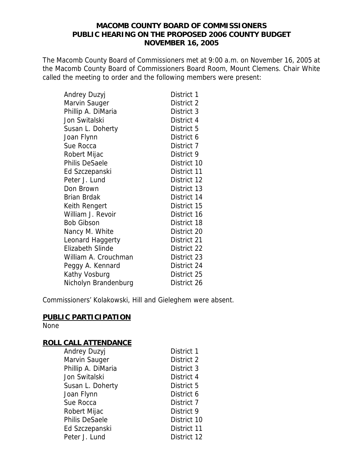## **MACOMB COUNTY BOARD OF COMMISSIONERS PUBLIC HEARING ON THE PROPOSED 2006 COUNTY BUDGET NOVEMBER 16, 2005**

The Macomb County Board of Commissioners met at 9:00 a.m. on November 16, 2005 at the Macomb County Board of Commissioners Board Room, Mount Clemens. Chair White called the meeting to order and the following members were present:

| Andrey Duzyj            | District 1  |
|-------------------------|-------------|
| Marvin Sauger           | District 2  |
| Phillip A. DiMaria      | District 3  |
| Jon Switalski           | District 4  |
| Susan L. Doherty        | District 5  |
| Joan Flynn              | District 6  |
| Sue Rocca               | District 7  |
| Robert Mijac            | District 9  |
| <b>Philis DeSaele</b>   | District 10 |
| Ed Szczepanski          | District 11 |
| Peter J. Lund           | District 12 |
| Don Brown               | District 13 |
| Brian Brdak             | District 14 |
| Keith Rengert           | District 15 |
| William J. Revoir       | District 16 |
| <b>Bob Gibson</b>       | District 18 |
| Nancy M. White          | District 20 |
| Leonard Haggerty        | District 21 |
| <b>Elizabeth Slinde</b> | District 22 |
| William A. Crouchman    | District 23 |
| Peggy A. Kennard        | District 24 |
| Kathy Vosburg           | District 25 |
| Nicholyn Brandenburg    | District 26 |

Commissioners' Kolakowski, Hill and Gieleghem were absent.

## **PUBLIC PARTICIPATION**

None

## **ROLL CALL ATTENDANCE**

| <b>Andrey Duzyj</b> | District 1  |
|---------------------|-------------|
| Marvin Sauger       | District 2  |
| Phillip A. DiMaria  | District 3  |
| Jon Switalski       | District 4  |
| Susan L. Doherty    | District 5  |
| Joan Flynn          | District 6  |
| Sue Rocca           | District 7  |
| Robert Mijac        | District 9  |
| Philis DeSaele      | District 10 |
| Ed Szczepanski      | District 11 |
| Peter J. Lund       | District 12 |